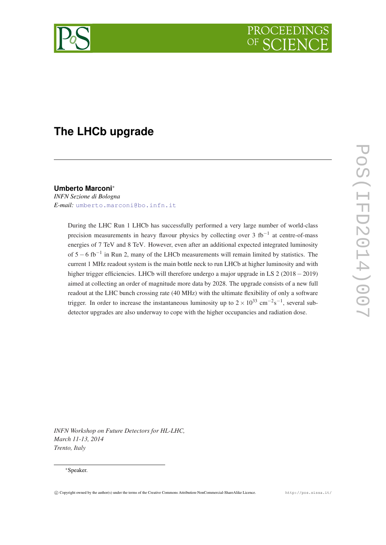

# **The LHCb upgrade**

# **Umberto Marconi**<sup>∗</sup>

*INFN Sezione di Bologna E-mail:* [umberto.marconi@bo.infn.it](mailto:umberto.marconi@bo.infn.it)

> During the LHC Run 1 LHCb has successfully performed a very large number of world-class precision measurements in heavy flavour physics by collecting over 3 fb<sup>-1</sup> at centre-of-mass energies of 7 TeV and 8 TeV. However, even after an additional expected integrated luminosity of 5−6 fb−<sup>1</sup> in Run 2, many of the LHCb measurements will remain limited by statistics. The current 1 MHz readout system is the main bottle neck to run LHCb at higher luminosity and with higher trigger efficiencies. LHCb will therefore undergo a major upgrade in LS 2 (2018−2019) aimed at collecting an order of magnitude more data by 2028. The upgrade consists of a new full readout at the LHC bunch crossing rate (40 MHz) with the ultimate flexibility of only a software trigger. In order to increase the instantaneous luminosity up to  $2 \times 10^{33}$  cm<sup>-2</sup>s<sup>-1</sup>, several subdetector upgrades are also underway to cope with the higher occupancies and radiation dose.

*INFN Workshop on Future Detectors for HL-LHC, March 11-13, 2014 Trento, Italy*

#### <sup>∗</sup>Speaker.

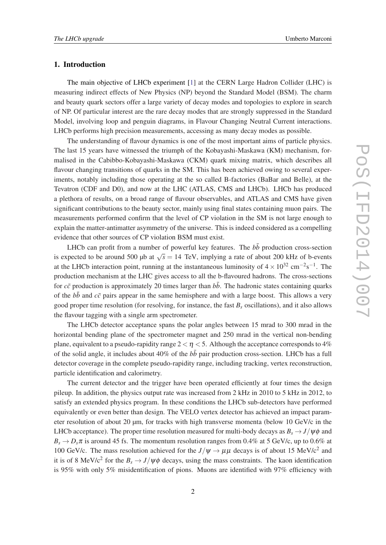## 1. Introduction

The main objective of LHCb experiment [\[1](#page-4-0)] at the CERN Large Hadron Collider (LHC) is measuring indirect effects of New Physics (NP) beyond the Standard Model (BSM). The charm and beauty quark sectors offer a large variety of decay modes and topologies to explore in search of NP. Of particular interest are the rare decay modes that are strongly suppressed in the Standard Model, involving loop and penguin diagrams, in Flavour Changing Neutral Current interactions. LHCb performs high precision measurements, accessing as many decay modes as possible.

The understanding of flavour dynamics is one of the most important aims of particle physics. The last 15 years have witnessed the triumph of the Kobayashi-Maskawa (KM) mechanism, formalised in the Cabibbo-Kobayashi-Maskawa (CKM) quark mixing matrix, which describes all flavour changing transitions of quarks in the SM. This has been achieved owing to several experiments, notably including those operating at the so called B-factories (BaBar and Belle), at the Tevatron (CDF and D0), and now at the LHC (ATLAS, CMS and LHCb). LHCb has produced a plethora of results, on a broad range of flavour observables, and ATLAS and CMS have given significant contributions to the beauty sector, mainly using final states containing muon pairs. The measurements performed confirm that the level of CP violation in the SM is not large enough to explain the matter-antimatter asymmetry of the universe. This is indeed considered as a compelling evidence that other sources of CP violation BSM must exist.

LHCb can profit from a number of powerful key features. The  $b\bar{b}$  production cross-section is expected to be around 500 µb at  $\sqrt{s} = 14$  TeV, implying a rate of about 200 kHz of b-events at the LHCb interaction point, running at the instantaneous luminosity of  $4 \times 10^{32}$  cm<sup>-2</sup>s<sup>-1</sup>. The production mechanism at the LHC gives access to all the b-flavoured hadrons. The cross-sections for  $c\bar{c}$  production is approximately 20 times larger than  $b\bar{b}$ . The hadronic states containing quarks of the  $b\bar{b}$  and  $c\bar{c}$  pairs appear in the same hemisphere and with a large boost. This allows a very good proper time resolution (for resolving, for instance, the fast  $B_s$  oscillations), and it also allows the flavour tagging with a single arm spectrometer.

The LHCb detector acceptance spans the polar angles between 15 mrad to 300 mrad in the horizontal bending plane of the spectrometer magnet and 250 mrad in the vertical non-bending plane, equivalent to a pseudo-rapidity range  $2 < \eta < 5$ . Although the acceptance corresponds to 4% of the solid angle, it includes about 40% of the  $b\bar{b}$  pair production cross-section. LHCb has a full detector coverage in the complete pseudo-rapidity range, including tracking, vertex reconstruction, particle identification and calorimetry.

The current detector and the trigger have been operated efficiently at four times the design pileup. In addition, the physics output rate was increased from 2 kHz in 2010 to 5 kHz in 2012, to satisfy an extended physics program. In these conditions the LHCb sub-detectors have performed equivalently or even better than design. The VELO vertex detector has achieved an impact parameter resolution of about 20 µm, for tracks with high transverse momenta (below 10 GeV/c in the LHCb acceptance). The proper time resolution measured for multi-body decays as  $B_s \rightarrow J/\psi \phi$  and  $B_s \rightarrow D_s \pi$  is around 45 fs. The momentum resolution ranges from 0.4% at 5 GeV/c, up to 0.6% at 100 GeV/c. The mass resolution achieved for the  $J/\psi \rightarrow \mu\mu$  decays is of about 15 MeV/c<sup>2</sup> and it is of 8 MeV/c<sup>2</sup> for the  $B_s \to J/\psi \phi$  decays, using the mass constraints. The kaon identification is 95% with only 5% misidentification of pions. Muons are identified with 97% efficiency with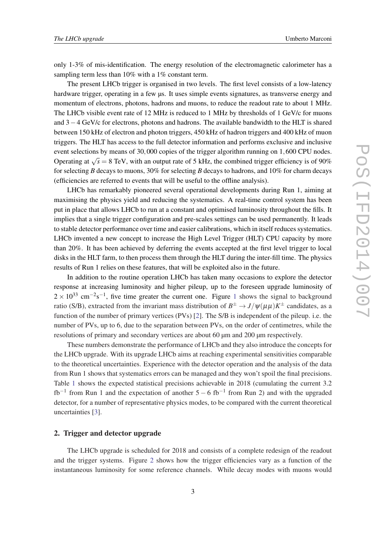only 1-3% of mis-identification. The energy resolution of the electromagnetic calorimeter has a sampling term less than 10% with a 1% constant term.

The present LHCb trigger is organised in two levels. The first level consists of a low-latency hardware trigger, operating in a few  $\mu$ s. It uses simple events signatures, as transverse energy and momentum of electrons, photons, hadrons and muons, to reduce the readout rate to about 1 MHz. The LHCb visible event rate of 12 MHz is reduced to 1 MHz by thresholds of 1 GeV/c for muons and 3−4 GeV/c for electrons, photons and hadrons. The available bandwidth to the HLT is shared between 150 kHz of electron and photon triggers, 450 kHz of hadron triggers and 400 kHz of muon triggers. The HLT has access to the full detector information and performs exclusive and inclusive event selections by means of 30,000 copies of the trigger algorithm running on 1,600 CPU nodes. Operating at  $\sqrt{s} = 8$  TeV, with an output rate of 5 kHz, the combined trigger efficiency is of 90% for selecting *B* decays to muons, 30% for selecting *B* decays to hadrons, and 10% for charm decays (efficiencies are referred to events that will be useful to the offline analysis).

LHCb has remarkably pioneered several operational developments during Run 1, aiming at maximising the physics yield and reducing the systematics. A real-time control system has been put in place that allows LHCb to run at a constant and optimised luminosity throughout the fills. It implies that a single trigger configuration and pre-scales settings can be used permanently. It leads to stable detector performance over time and easier calibrations, which in itself reduces systematics. LHCb invented a new concept to increase the High Level Trigger (HLT) CPU capacity by more than 20%. It has been achieved by deferring the events accepted at the first level trigger to local disks in the HLT farm, to then process them through the HLT during the inter-fill time. The physics results of Run 1 relies on these features, that will be exploited also in the future.

In addition to the routine operation LHCb has taken many occasions to explore the detector response at increasing luminosity and higher pileup, up to the foreseen upgrade luminosity of  $2 \times 10^{33}$  $2 \times 10^{33}$  $2 \times 10^{33}$  cm<sup>-2</sup>s<sup>-1</sup>, five time greater the current one. Figure 1 shows the signal to background ratio (S/B), extracted from the invariant mass distribution of  $B^{\pm} \to J/\psi(\mu\mu)K^{\pm}$  candidates, as a function of the number of primary vertices (PVs) [\[2\]](#page-4-0). The S/B is independent of the pileup. i.e. the number of PVs, up to 6, due to the separation between PVs, on the order of centimetres, while the resolutions of primary and secondary vertices are about 60 µm and 200 µm respectively.

These numbers demonstrate the performance of LHCb and they also introduce the concepts for the LHCb upgrade. With its upgrade LHCb aims at reaching experimental sensitivities comparable to the theoretical uncertainties. Experience with the detector operation and the analysis of the data from Run 1 shows that systematics errors can be managed and they won't spoil the final precisions. Table [1](#page-5-0) shows the expected statistical precisions achievable in 2018 (cumulating the current 3.2 fb<sup>-1</sup> from Run 1 and the expectation of another  $5 - 6$  fb<sup>-1</sup> from Run 2) and with the upgraded detector, for a number of representative physics modes, to be compared with the current theoretical uncertainties [\[3\]](#page-4-0).

#### 2. Trigger and detector upgrade

The LHCb upgrade is scheduled for 2018 and consists of a complete redesign of the readout and the trigger systems. Figure [2](#page-5-0) shows how the trigger efficiencies vary as a function of the instantaneous luminosity for some reference channels. While decay modes with muons would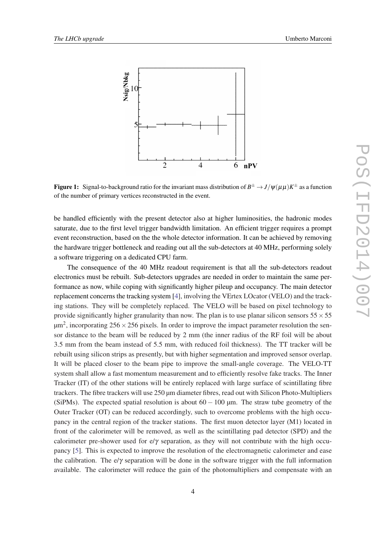<span id="page-3-0"></span>

Figure 1: Signal-to-background ratio for the invariant mass distribution of  $B^\pm\to J/\psi(\mu\mu)K^\pm$  as a function of the number of primary vertices reconstructed in the event.

be handled efficiently with the present detector also at higher luminosities, the hadronic modes saturate, due to the first level trigger bandwidth limitation. An efficient trigger requires a prompt event reconstruction, based on the the whole detector information. It can be achieved by removing the hardware trigger bottleneck and reading out all the sub-detectors at 40 MHz, performing solely a software triggering on a dedicated CPU farm.

The consequence of the 40 MHz readout requirement is that all the sub-detectors readout electronics must be rebuilt. Sub-detectors upgrades are needed in order to maintain the same performance as now, while coping with significantly higher pileup and occupancy. The main detector replacement concerns the tracking system [\[4\]](#page-4-0), involving the VErtex LOcator (VELO) and the tracking stations. They will be completely replaced. The VELO will be based on pixel technology to provide significantly higher granularity than now. The plan is to use planar silicon sensors  $55 \times 55$  $\mu$ m<sup>2</sup>, incorporating 256  $\times$  256 pixels. In order to improve the impact parameter resolution the sensor distance to the beam will be reduced by 2 mm (the inner radius of the RF foil will be about 3.5 mm from the beam instead of 5.5 mm, with reduced foil thickness). The TT tracker will be rebuilt using silicon strips as presently, but with higher segmentation and improved sensor overlap. It will be placed closer to the beam pipe to improve the small-angle coverage. The VELO-TT system shall allow a fast momentum measurement and to efficiently resolve fake tracks. The Inner Tracker (IT) of the other stations will be entirely replaced with large surface of scintillating fibre trackers. The fibre trackers will use 250 µm diameter fibres, read out with Silicon Photo-Multipliers (SiPMs). The expected spatial resolution is about  $60 - 100$  µm. The straw tube geometry of the Outer Tracker (OT) can be reduced accordingly, such to overcome problems with the high occupancy in the central region of the tracker stations. The first muon detector layer (M1) located in front of the calorimeter will be removed, as well as the scintillating pad detector (SPD) and the calorimeter pre-shower used for e/ $\gamma$  separation, as they will not contribute with the high occupancy [[5](#page-4-0)]. This is expected to improve the resolution of the electromagnetic calorimeter and ease the calibration. The e/ $\gamma$  separation will be done in the software trigger with the full information available. The calorimeter will reduce the gain of the photomultipliers and compensate with an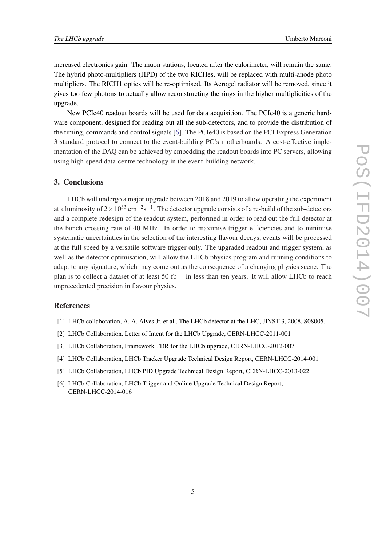<span id="page-4-0"></span>increased electronics gain. The muon stations, located after the calorimeter, will remain the same. The hybrid photo-multipliers (HPD) of the two RICHes, will be replaced with multi-anode photo multipliers. The RICH1 optics will be re-optimised. Its Aerogel radiator will be removed, since it gives too few photons to actually allow reconstructing the rings in the higher multiplicities of the upgrade.

New PCIe40 readout boards will be used for data acquisition. The PCIe40 is a generic hardware component, designed for reading out all the sub-detectors, and to provide the distribution of the timing, commands and control signals [6]. The PCIe40 is based on the PCI Express Generation 3 standard protocol to connect to the event-building PC's motherboards. A cost-effective implementation of the DAQ can be achieved by embedding the readout boards into PC servers, allowing using high-speed data-centre technology in the event-building network.

## 3. Conclusions

LHCb will undergo a major upgrade between 2018 and 2019 to allow operating the experiment at a luminosity of 2 × 10<sup>33</sup> cm<sup>-2</sup>s<sup>-1</sup>. The detector upgrade consists of a re-build of the sub-detectors and a complete redesign of the readout system, performed in order to read out the full detector at the bunch crossing rate of 40 MHz. In order to maximise trigger efficiencies and to minimise systematic uncertainties in the selection of the interesting flavour decays, events will be processed at the full speed by a versatile software trigger only. The upgraded readout and trigger system, as well as the detector optimisation, will allow the LHCb physics program and running conditions to adapt to any signature, which may come out as the consequence of a changing physics scene. The plan is to collect a dataset of at least 50 fb<sup>-1</sup> in less than ten years. It will allow LHCb to reach unprecedented precision in flavour physics.

## References

- [1] LHCb collaboration, A. A. Alves Jr. et al., The LHCb detector at the LHC, JINST 3, 2008, S08005.
- [2] LHCb Collaboration, Letter of Intent for the LHCb Upgrade, CERN-LHCC-2011-001
- [3] LHCb Collaboration, Framework TDR for the LHCb upgrade, CERN-LHCC-2012-007
- [4] LHCb Collaboration, LHCb Tracker Upgrade Technical Design Report, CERN-LHCC-2014-001
- [5] LHCb Collaboration, LHCb PID Upgrade Technical Design Report, CERN-LHCC-2013-022
- [6] LHCb Collaboration, LHCb Trigger and Online Upgrade Technical Design Report, CERN-LHCC-2014-016